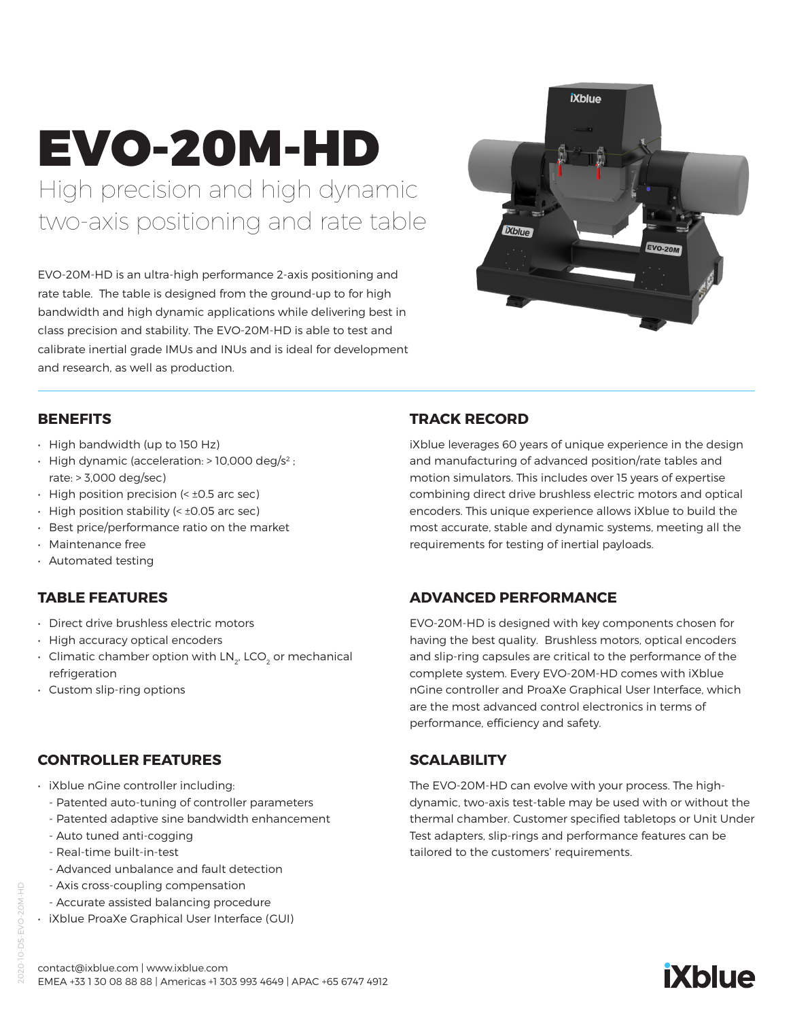# EVO-20M-HD High precision and high dynamic two-axis positioning and rate table

EVO-20M-HD is an ultra-high performance 2-axis positioning and rate table. The table is designed from the ground-up to for high bandwidth and high dynamic applications while delivering best in class precision and stability. The EVO-20M-HD is able to test and calibrate inertial grade IMUs and INUs and is ideal for development and research, as well as production.



#### **BENEFITS**

- High bandwidth (up to 150 Hz)
- $\cdot$  High dynamic (acceleration: > 10,000 deg/s<sup>2</sup> : rate: > 3,000 deg/sec)
- $\cdot$  High position precision (<  $\pm$ 0.5 arc sec)
- High position stability (< ±0.05 arc sec)
- Best price/performance ratio on the market
- Maintenance free
- Automated testing

# **TABLE FEATURES**

- Direct drive brushless electric motors
- High accuracy optical encoders
- $\cdot$  Climatic chamber option with LN<sub>2</sub>, LCO<sub>2</sub> or mechanical refrigeration
- Custom slip-ring options

### **CONTROLLER FEATURES**

- iXblue nGine controller including:
	- Patented auto-tuning of controller parameters
	- Patented adaptive sine bandwidth enhancement
	- Auto tuned anti-cogging
	- Real-time built-in-test
	- Advanced unbalance and fault detection
	- Axis cross-coupling compensation
	- Accurate assisted balancing procedure
- iXblue ProaXe Graphical User Interface (GUI)

## **TRACK RECORD**

iXblue leverages 60 years of unique experience in the design and manufacturing of advanced position/rate tables and motion simulators. This includes over 15 years of expertise combining direct drive brushless electric motors and optical encoders. This unique experience allows iXblue to build the most accurate, stable and dynamic systems, meeting all the requirements for testing of inertial payloads.

### **ADVANCED PERFORMANCE**

EVO-20M-HD is designed with key components chosen for having the best quality. Brushless motors, optical encoders and slip-ring capsules are critical to the performance of the complete system. Every EVO-20M-HD comes with iXblue nGine controller and ProaXe Graphical User Interface, which are the most advanced control electronics in terms of performance, efficiency and safety.

# **SCALABILITY**

The EVO-20M-HD can evolve with your process. The highdynamic, two-axis test-table may be used with or without the thermal chamber. Customer specified tabletops or Unit Under Test adapters, slip-rings and performance features can be tailored to the customers' requirements.